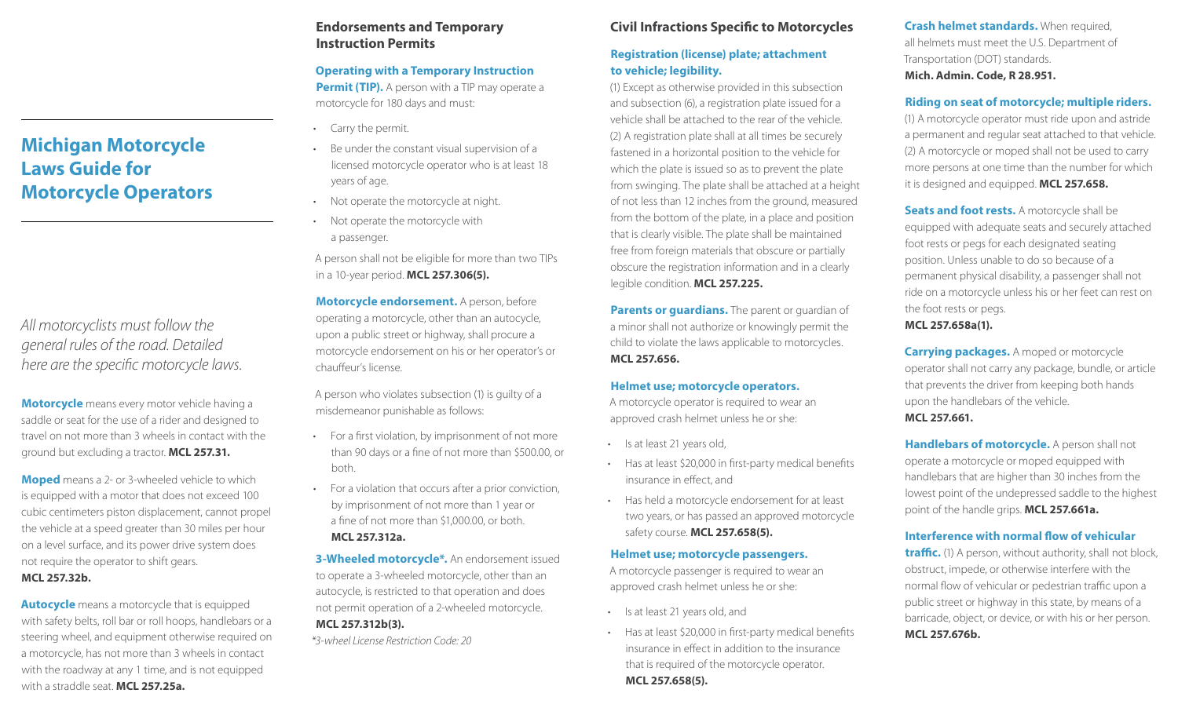## **Endorsements and Temporary Instruction Permits**

## **Operating with a Temporary Instruction Permit (TIP).** A person with a TIP may operate a motorcycle for 180 days and must:

- Carry the permit.
- Be under the constant visual supervision of a licensed motorcycle operator who is at least 18 years of age.
- Not operate the motorcycle at night.
- Not operate the motorcycle with a passenger.

A person shall not be eligible for more than two TIPs in a 10-year period. **MCL 257.306(5).**

**Motorcycle endorsement.** A person, before operating a motorcycle, other than an autocycle, upon a public street or highway, shall procure a motorcycle endorsement on his or her operator's or chauffeur's license.

A person who violates subsection (1) is guilty of a misdemeanor punishable as follows:

- For a first violation, by imprisonment of not more than 90 days or a fine of not more than \$500.00, or both.
- For a violation that occurs after a prior conviction, by imprisonment of not more than 1 year or a fine of not more than \$1,000.00, or both. **MCL 257.312a.**
- **3-Wheeled motorcycle\*.** An endorsement issued to operate a 3-wheeled motorcycle, other than an autocycle, is restricted to that operation and does not permit operation of a 2-wheeled motorcycle. **MCL 257.312b(3).**

*\*3-wheel License Restriction Code: 20*

# **Civil Infractions Specific to Motorcycles**

## **Registration (license) plate; attachment to vehicle; legibility.**

(1) Except as otherwise provided in this subsection and subsection (6), a registration plate issued for a vehicle shall be attached to the rear of the vehicle. (2) A registration plate shall at all times be securely fastened in a horizontal position to the vehicle for which the plate is issued so as to prevent the plate from swinging. The plate shall be attached at a height of not less than 12 inches from the ground, measured from the bottom of the plate, in a place and position that is clearly visible. The plate shall be maintained free from foreign materials that obscure or partially obscure the registration information and in a clearly legible condition. **MCL 257.225.**

**Parents or guardians.** The parent or quardian of a minor shall not authorize or knowingly permit the child to violate the laws applicable to motorcycles. **MCL 257.656.**

## **Helmet use; motorcycle operators.**

A motorcycle operator is required to wear an approved crash helmet unless he or she:

- Is at least 21 years old,
- Has at least \$20,000 in first-party medical benefits insurance in effect, and
- Has held a motorcycle endorsement for at least two years, or has passed an approved motorcycle safety course. **MCL 257.658(5).**

## **Helmet use; motorcycle passengers.**

A motorcycle passenger is required to wear an approved crash helmet unless he or she:

- Is at least 21 years old, and
- Has at least \$20,000 in first-party medical benefits insurance in effect in addition to the insurance that is required of the motorcycle operator. **MCL 257.658(5).**

**Crash helmet standards.** When required, all helmets must meet the U.S. Department of Transportation (DOT) standards. **Mich. Admin. Code, R 28.951.**

## **Riding on seat of motorcycle; multiple riders.**

(1) A motorcycle operator must ride upon and astride a permanent and regular seat attached to that vehicle. (2) A motorcycle or moped shall not be used to carry more persons at one time than the number for which it is designed and equipped. **MCL 257.658.**

**Seats and foot rests.** A motorcycle shall be equipped with adequate seats and securely attached foot rests or pegs for each designated seating position. Unless unable to do so because of a permanent physical disability, a passenger shall not ride on a motorcycle unless his or her feet can rest on the foot rests or pegs.

**MCL 257.658a(1).**

**Carrying packages.** A moped or motorcycle operator shall not carry any package, bundle, or article that prevents the driver from keeping both hands upon the handlebars of the vehicle. **MCL 257.661.**

**Handlebars of motorcycle.** A person shall not operate a motorcycle or moped equipped with handlebars that are higher than 30 inches from the lowest point of the undepressed saddle to the highest point of the handle grips. **MCL 257.661a.**

## **Interference with normal flow of vehicular**

**traffic.** (1) A person, without authority, shall not block, obstruct, impede, or otherwise interfere with the normal flow of vehicular or pedestrian traffic upon a public street or highway in this state, by means of a barricade, object, or device, or with his or her person. **MCL 257.676b.**

# **Michigan Motorcycle Laws Guide for Motorcycle Operators**

*All motorcyclists must follow the general rules of the road. Detailed here are the specific motorcycle laws.*

**Motorcycle** means every motor vehicle having a saddle or seat for the use of a rider and designed to travel on not more than 3 wheels in contact with the ground but excluding a tractor. **MCL 257.31.**

**Moped** means a 2- or 3-wheeled vehicle to which is equipped with a motor that does not exceed 100 cubic centimeters piston displacement, cannot propel the vehicle at a speed greater than 30 miles per hour on a level surface, and its power drive system does not require the operator to shift gears. **MCL 257.32b.**

**Autocycle** means a motorcycle that is equipped with safety belts, roll bar or roll hoops, handlebars or a steering wheel, and equipment otherwise required on a motorcycle, has not more than 3 wheels in contact with the roadway at any 1 time, and is not equipped with a straddle seat. **MCL 257.25a.**